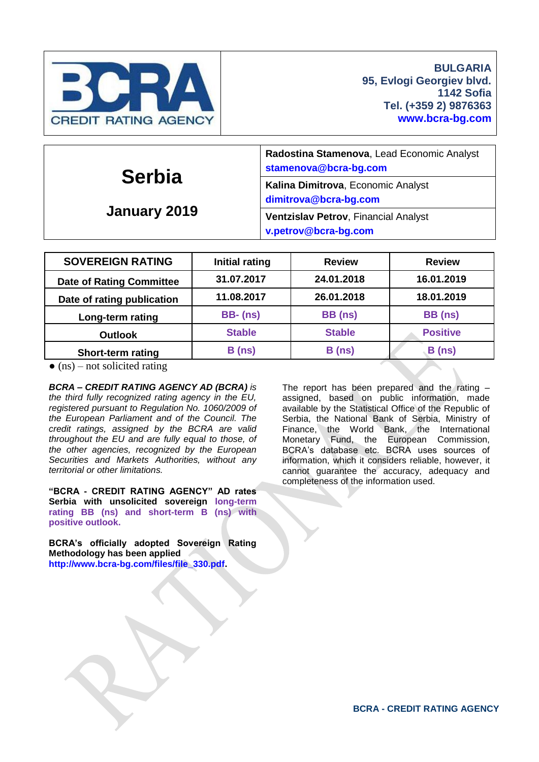

| <b>Serbia</b><br>January 2019 | Radostina Stamenova, Lead Economic Analyst<br>stamenova@bcra-bg.com |  |  |  |
|-------------------------------|---------------------------------------------------------------------|--|--|--|
|                               | Kalina Dimitrova, Economic Analyst<br>dimitrova@bcra-bg.com         |  |  |  |
|                               | Ventzislav Petrov, Financial Analyst<br>v.petrov@bcra-bg.com        |  |  |  |

| <b>SOVEREIGN RATING</b>         | <b>Initial rating</b> | <b>Review</b> | <b>Review</b>   |  |
|---------------------------------|-----------------------|---------------|-----------------|--|
| <b>Date of Rating Committee</b> | 31.07.2017            | 24.01.2018    | 16.01.2019      |  |
| Date of rating publication      | 11.08.2017            | 26.01.2018    | 18.01.2019      |  |
| Long-term rating                | <b>BB-</b> (ns)       | BB (ns)       | BB (ns)         |  |
| <b>Outlook</b>                  | <b>Stable</b>         | <b>Stable</b> | <b>Positive</b> |  |
| <b>Short-term rating</b>        | B(ns)                 | B(ns)         | B(ns)           |  |

 $\bullet$  (ns) – not solicited rating

*BCRA – CREDIT RATING AGENCY AD (BCRA) is the third fully recognized rating agency in the EU, registered pursuant to Regulation No. 1060/2009 of the European Parliament and of the Council. The credit ratings, assigned by the BCRA are valid throughout the EU and are fully equal to those, of the other agencies, recognized by the European Securities and Markets Authorities, without any territorial or other limitations.*

**"BCRA - CREDIT RATING AGENCY" AD rates Serbia with unsolicited sovereign long-term rating BB (ns) and short-term B (ns) with positive outlook.**

**BCRA's officially adopted Sovereign Rating Methodology has been applied [http://www.bcra-bg.com/files/file\\_330.pdf.](http://www.bcra-bg.com/files/file_330.pdf)**

The report has been prepared and the rating – assigned, based on public information, made available by the Statistical Office of the Republic of Serbia, the National Bank of Serbia, Ministry of Finance, the World Bank, the International Monetary Fund, the European Commission, BCRA's database etc. BCRA uses sources of information, which it considers reliable, however, it cannot guarantee the accuracy, adequacy and completeness of the information used.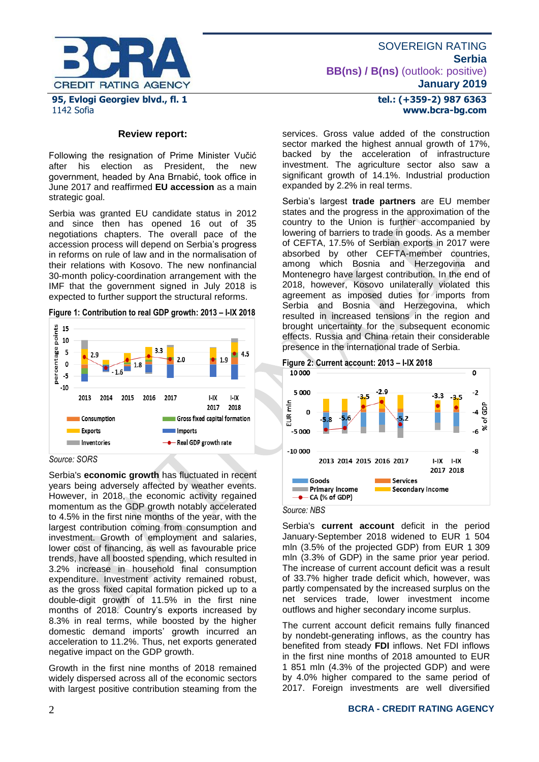

### **Review report:**

Following the resignation of Prime Minister Vučić<br>after his election as President, the new after his election as President, the new government, headed by Ana Brnabić, took office in June 2017 and reaffirmed **EU accession** as a main strategic goal.

Serbia was granted EU candidate status in 2012 and since then has opened 16 out of 35 negotiations chapters. The overall pace of the accession process will depend on Serbia's progress in reforms on rule of law and in the normalisation of their relations with Kosovo. The new nonfinancial 30-month policy-coordination arrangement with the IMF that the government signed in July 2018 is expected to further support the structural reforms.

### **Figure 1: Contribution to real GDP growth: 2013 – I-IX 2018**



*Source: SORS*

Serbia's **economic growth** has fluctuated in recent years being adversely affected by weather events. However, in 2018, the economic activity regained momentum as the GDP growth notably accelerated to 4.5% in the first nine months of the year, with the largest contribution coming from consumption and investment. Growth of employment and salaries, lower cost of financing, as well as favourable price trends, have all boosted spending, which resulted in 3.2% increase in household final consumption expenditure. Investment activity remained robust, as the gross fixed capital formation picked up to a double-digit growth of 11.5% in the first nine months of 2018. Country's exports increased by 8.3% in real terms, while boosted by the higher domestic demand imports' growth incurred an acceleration to 11.2%. Thus, net exports generated negative impact on the GDP growth.

Growth in the first nine months of 2018 remained widely dispersed across all of the economic sectors with largest positive contribution steaming from the

### **tel.: (+359-2) 987 6363 www.bcra-bg.com**

services. Gross value added of the construction sector marked the highest annual growth of 17%, backed by the acceleration of infrastructure investment. The agriculture sector also saw a significant growth of 14.1%. Industrial production expanded by 2.2% in real terms.

Serbia's largest **trade partners** are EU member states and the progress in the approximation of the country to the Union is further accompanied by lowering of barriers to trade in goods. As a member of CEFTA, 17.5% of Serbian exports in 2017 were absorbed by other CEFTA-member countries, among which Bosnia and Herzegovina and Montenegro have largest contribution. In the end of 2018, however, Kosovo unilaterally violated this agreement as imposed duties for imports from Serbia and Bosnia and Herzegovina, which resulted in increased tensions in the region and brought uncertainty for the subsequent economic effects. Russia and China retain their considerable presence in the international trade of Serbia.



### *Source: NBS*

Serbia's **current account** deficit in the period January-September 2018 widened to EUR 1 504 mln (3.5% of the projected GDP) from EUR 1 309 mln (3.3% of GDP) in the same prior year period. The increase of current account deficit was a result of 33.7% higher trade deficit which, however, was partly compensated by the increased surplus on the net services trade, lower investment income outflows and higher secondary income surplus.

The current account deficit remains fully financed by nondebt-generating inflows, as the country has benefited from steady **FDI** inflows. Net FDI inflows in the first nine months of 2018 amounted to EUR 1 851 mln (4.3% of the projected GDP) and were by 4.0% higher compared to the same period of 2017. Foreign investments are well diversified

### 2 **BCRA - CREDIT RATING AGENCY**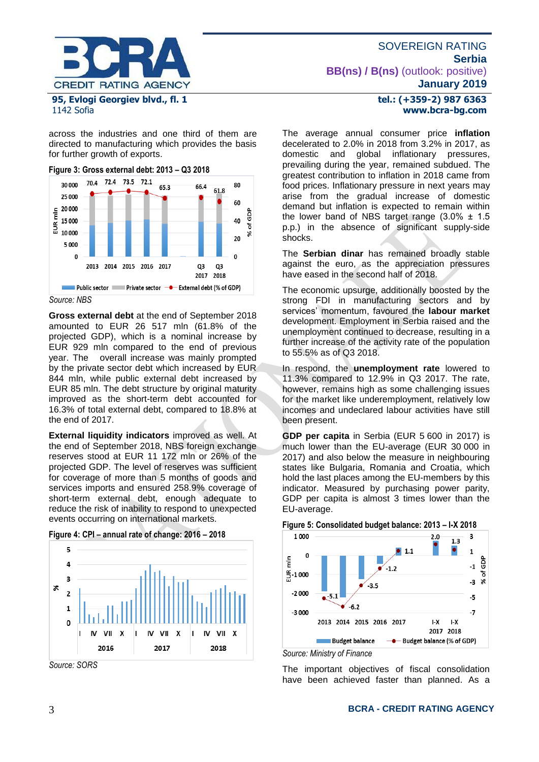

# 1142 Sofia

across the industries and one third of them are directed to manufacturing which provides the basis for further growth of exports.





*Source: NBS*

**Gross external debt** at the end of September 2018 amounted to EUR 26 517 mln (61.8% of the projected GDP), which is a nominal increase by EUR 929 mln compared to the end of previous year. The overall increase was mainly prompted by the private sector debt which increased by EUR 844 mln, while public external debt increased by EUR 85 mln. The debt structure by original maturity improved as the short-term debt accounted for 16.3% of total external debt, compared to 18.8% at the end of 2017.

**External liquidity indicators** improved as well. At the end of September 2018, NBS foreign exchange reserves stood at EUR 11 172 mln or 26% of the projected GDP. The level of reserves was sufficient for coverage of more than 5 months of goods and services imports and ensured 258.9% coverage of short-term external debt, enough adequate to reduce the risk of inability to respond to unexpected events occurring on international markets.





*Source: SORS*

# **tel.: (+359-2) 987 6363 www.bcra-bg.com**

The average annual consumer price **inflation**  decelerated to 2.0% in 2018 from 3.2% in 2017, as domestic and global inflationary pressures, prevailing during the year, remained subdued. The greatest contribution to inflation in 2018 came from food prices. Inflationary pressure in next years may arise from the gradual increase of domestic demand but inflation is expected to remain within the lower band of NBS target range  $(3.0\% \pm 1.5$ p.p.) in the absence of significant supply-side shocks.

The **Serbian dinar** has remained broadly stable against the euro, as the appreciation pressures have eased in the second half of 2018.

The economic upsurge, additionally boosted by the strong FDI in manufacturing sectors and by services' momentum, favoured the **labour market** development. Employment in Serbia raised and the unemployment continued to decrease, resulting in a further increase of the activity rate of the population to 55.5% as of Q3 2018.

In respond, the **unemployment rate** lowered to 11.3% compared to 12.9% in Q3 2017. The rate, however, remains high as some challenging issues for the market like underemployment, relatively low incomes and undeclared labour activities have still been present.

**GDP per capita** in Serbia (EUR 5 600 in 2017) is much lower than the EU-average (EUR 30 000 in 2017) and also below the measure in neighbouring states like Bulgaria, Romania and Croatia, which hold the last places among the EU-members by this indicator. Measured by purchasing power parity, GDP per capita is almost 3 times lower than the EU-average.





The important objectives of fiscal consolidation have been achieved faster than planned. As a

# 3 **BCRA - CREDIT RATING AGENCY**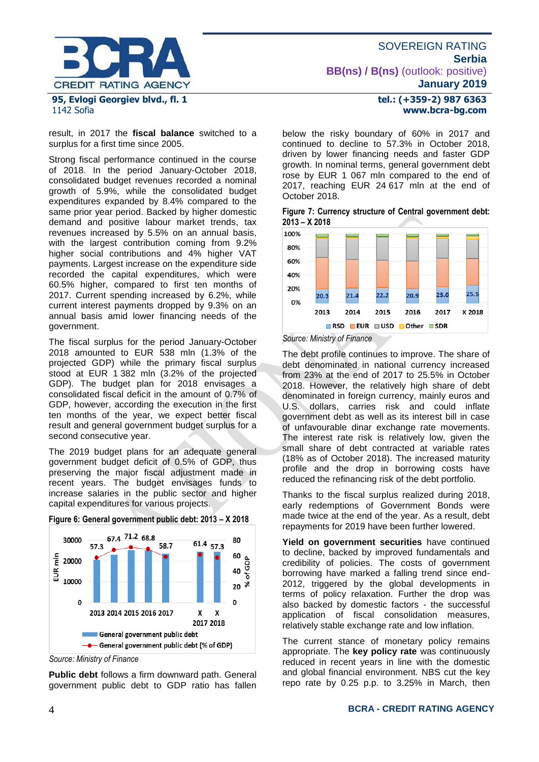

# 1142 Sofia

result, in 2017 the **fiscal balance** switched to a surplus for a first time since 2005.

Strong fiscal performance continued in the course of 2018. In the period January-October 2018, consolidated budget revenues recorded a nominal growth of 5.9%, while the consolidated budget expenditures expanded by 8.4% compared to the same prior year period. Backed by higher domestic demand and positive labour market trends, tax revenues increased by 5.5% on an annual basis, with the largest contribution coming from 9.2% higher social contributions and 4% higher VAT payments. Largest increase on the expenditure side recorded the capital expenditures, which were 60.5% higher, compared to first ten months of 2017. Current spending increased by 6.2%, while current interest payments dropped by 9.3% on an annual basis amid lower financing needs of the government.

The fiscal surplus for the period January-October 2018 amounted to EUR 538 mln (1.3% of the projected GDP) while the primary fiscal surplus stood at EUR 1 382 mln (3.2% of the projected GDP). The budget plan for 2018 envisages a consolidated fiscal deficit in the amount of 0.7% of GDP, however, according the execution in the first ten months of the year, we expect better fiscal result and general government budget surplus for a second consecutive year.

The 2019 budget plans for an adequate general government budget deficit of 0.5% of GDP, thus preserving the major fiscal adjustment made in recent years. The budget envisages funds to increase salaries in the public sector and higher capital expenditures for various projects.





**Public debt** follows a firm downward path. General government public debt to GDP ratio has fallen

# **tel.: (+359-2) 987 6363 www.bcra-bg.com**

below the risky boundary of 60% in 2017 and continued to decline to 57.3% in October 2018, driven by lower financing needs and faster GDP growth. In nominal terms, general government debt rose by EUR 1 067 mln compared to the end of 2017, reaching EUR 24 617 mln at the end of October 2018.

| Figure 7: Currency structure of Central government debt: |  |  |
|----------------------------------------------------------|--|--|
| $2013 - X 2018$                                          |  |  |



*Source: Ministry of Finance*

The debt profile continues to improve. The share of debt denominated in national currency increased from 23% at the end of 2017 to 25.5% in October 2018. However, the relatively high share of debt denominated in foreign currency, mainly euros and U.S. dollars, carries risk and could inflate government debt as well as its interest bill in case of unfavourable dinar exchange rate movements. The interest rate risk is relatively low, given the small share of debt contracted at variable rates (18% as of October 2018). The increased maturity profile and the drop in borrowing costs have reduced the refinancing risk of the debt portfolio.

Thanks to the fiscal surplus realized during 2018, early redemptions of Government Bonds were made twice at the end of the year. As a result, debt repayments for 2019 have been further lowered.

**Yield on government securities** have continued to decline, backed by improved fundamentals and credibility of policies. The costs of government borrowing have marked a falling trend since end-2012, triggered by the global developments in terms of policy relaxation. Further the drop was also backed by domestic factors - the successful application of fiscal consolidation measures, relatively stable exchange rate and low inflation.

The current stance of monetary policy remains appropriate. The **key policy rate** was continuously reduced in recent years in line with the domestic and global financial environment. NBS cut the key repo rate by 0.25 p.p. to 3.25% in March, then

*Source: Ministry of Finance*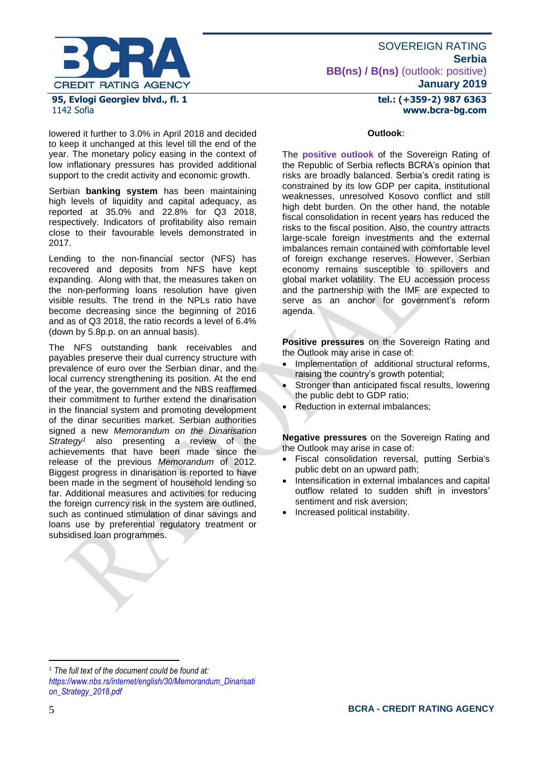

lowered it further to 3.0% in April 2018 and decided to keep it unchanged at this level till the end of the year. The monetary policy easing in the context of low inflationary pressures has provided additional support to the credit activity and economic growth.

Serbian **banking system** has been maintaining high levels of liquidity and capital adequacy, as reported at 35.0% and 22.8% for Q3 2018, respectively. Indicators of profitability also remain close to their favourable levels demonstrated in 2017.

Lending to the non-financial sector (NFS) has recovered and deposits from NFS have kept expanding. Along with that, the measures taken on the non-performing loans resolution have given visible results. The trend in the NPLs ratio have become decreasing since the beginning of 2016 and as of Q3 2018, the ratio records a level of 6.4% (down by 5.8p.p. on an annual basis).

The NFS outstanding bank receivables and payables preserve their dual currency structure with prevalence of euro over the Serbian dinar, and the local currency strengthening its position. At the end of the year, the government and the NBS reaffirmed their commitment to further extend the dinarisation in the financial system and promoting development of the dinar securities market. Serbian authorities signed a new *Memorandum on the Dinarisation Strategy<sup>1</sup>* also presenting a review of the achievements that have been made since the release of the previous *Memorandum* of 2012. Biggest progress in dinarisation is reported to have been made in the segment of household lending so far. Additional measures and activities for reducing the foreign currency risk in the system are outlined, such as continued stimulation of dinar savings and loans use by preferential regulatory treatment or subsidised loan programmes.

### **tel.: (+359-2) 987 6363 www.bcra-bg.com**

### **Outlook:**

The **positive outlook** of the Sovereign Rating of the Republic of Serbia reflects BCRA's opinion that risks are broadly balanced. Serbia's credit rating is constrained by its low GDP per capita, institutional weaknesses, unresolved Kosovo conflict and still high debt burden. On the other hand, the notable fiscal consolidation in recent years has reduced the risks to the fiscal position. Also, the country attracts large-scale foreign investments and the external imbalances remain contained with comfortable level of foreign exchange reserves. However, Serbian economy remains susceptible to spillovers and global market volatility. The EU accession process and the partnership with the IMF are expected to serve as an anchor for government's reform agenda.

**Positive pressures** on the Sovereign Rating and the Outlook may arise in case of:

- Implementation of additional structural reforms, raising the country's growth potential;
- Stronger than anticipated fiscal results, lowering the public debt to GDP ratio;
- Reduction in external imbalances;

**Negative pressures** on the Sovereign Rating and the Outlook may arise in case of:

- Fiscal consolidation reversal, putting Serbia's public debt on an upward path;
- Intensification in external imbalances and capital outflow related to sudden shift in investors' sentiment and risk aversion;
- Increased political instability.

1

<sup>1</sup> *The full text of the document could be found at: [https://www.nbs.rs/internet/english/30/Memorandum\\_Dinarisati](https://www.nbs.rs/internet/english/30/Memorandum_Dinarisation_Strategy_2018.pdf) [on\\_Strategy\\_2018.pdf](https://www.nbs.rs/internet/english/30/Memorandum_Dinarisation_Strategy_2018.pdf)*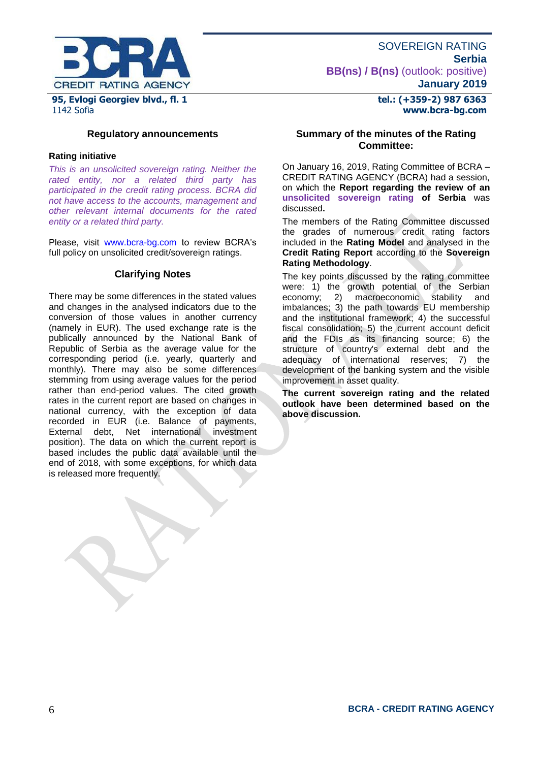

**tel.: (+359-2) 987 6363 www.bcra-bg.com** 

**Regulatory announcements**

### **Rating initiative**

*This is an unsolicited sovereign rating. Neither the rated entity, nor a related third party has participated in the credit rating process. BCRA did not have access to the accounts, management and other relevant internal documents for the rated entity or a related third party.*

Please, visit [www.bcra-bg.com](http://www.bcra-bg.com/) to review BCRA's full policy on unsolicited credit/sovereign ratings.

### **Clarifying Notes**

There may be some differences in the stated values and changes in the analysed indicators due to the conversion of those values in another currency (namely in EUR). The used exchange rate is the publically announced by the National Bank of Republic of Serbia as the average value for the corresponding period (i.e. yearly, quarterly and monthly). There may also be some differences stemming from using average values for the period rather than end-period values. The cited growth rates in the current report are based on changes in national currency, with the exception of data recorded in EUR (i.e. Balance of payments, External debt, Net international investment position). The data on which the current report is based includes the public data available until the end of 2018, with some exceptions, for which data is released more frequently.

## **Summary of the minutes of the Rating Committee:**

On January 16, 2019, Rating Committee of BCRA – CREDIT RATING AGENCY (BCRA) had a session, on which the **Report regarding the review of an unsolicited sovereign rating of Serbia** was discussed**.**

The members of the Rating Committee discussed the grades of numerous credit rating factors included in the **Rating Model** and analysed in the **Credit Rating Report** according to the **Sovereign Rating Methodology**.

The key points discussed by the rating committee were: 1) the growth potential of the Serbian economy; 2) macroeconomic stability and imbalances; 3) the path towards EU membership and the institutional framework; 4) the successful fiscal consolidation; 5) the current account deficit and the FDIs as its financing source; 6) the structure of country's external debt and the adequacy of international reserves; 7) the development of the banking system and the visible improvement in asset quality.

**The current sovereign rating and the related outlook have been determined based on the above discussion.**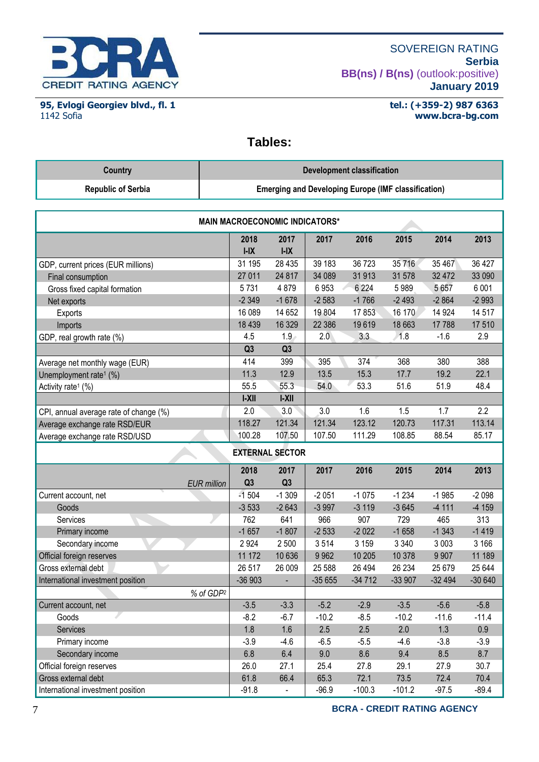

**95, Evlogi Georgiev blvd., fl. 1** 1142 Sofia

# **tel.: (+359-2) 987 6363 www.bcra-bg.com**

# **Tables:**

| Country                   | Development classification                                 |
|---------------------------|------------------------------------------------------------|
| <b>Republic of Serbia</b> | <b>Emerging and Developing Europe (IMF classification)</b> |

| <b>MAIN MACROECONOMIC INDICATORS*</b>  |                |                          |          |          |          |          |          |  |
|----------------------------------------|----------------|--------------------------|----------|----------|----------|----------|----------|--|
|                                        | 2018<br>$I-IX$ | 2017<br>$I-IX$           | 2017     | 2016     | 2015     | 2014     | 2013     |  |
| GDP, current prices (EUR millions)     | 31 195         | 28 4 35                  | 39 183   | 36723    | 35 716   | 35 467   | 36 427   |  |
| Final consumption                      | 27 011         | 24 817                   | 34 089   | 31913    | 31 578   | 32 472   | 33 090   |  |
| Gross fixed capital formation          | 5731           | 4879                     | 6953     | 6 2 2 4  | 5989     | 5 6 5 7  | 6 0 0 1  |  |
| Net exports                            | $-2349$        | $-1678$                  | $-2583$  | $-1766$  | $-2493$  | $-2864$  | $-2993$  |  |
| Exports                                | 16 089         | 14 652                   | 19 804   | 17853    | 16 170   | 14 9 24  | 14 517   |  |
| Imports                                | 18 4 39        | 16 3 29                  | 22 386   | 19619    | 18 663   | 17788    | 17 510   |  |
| GDP, real growth rate (%)              | 4.5            | 1.9                      | 2.0      | 3.3      | 1.8      | $-1.6$   | 2.9      |  |
|                                        | Q <sub>3</sub> | Q <sub>3</sub>           |          |          |          |          |          |  |
| Average net monthly wage (EUR)         | 414            | 399                      | 395      | 374      | 368      | 380      | 388      |  |
| Unemployment rate <sup>1</sup> (%)     | 11.3           | 12.9                     | 13.5     | 15.3     | 17.7     | 19.2     | 22.1     |  |
| Activity rate <sup>1</sup> (%)         | 55.5           | 55.3                     | 54.0     | 53.3     | 51.6     | 51.9     | 48.4     |  |
|                                        | $ -X  $        | $ -X  $                  |          |          |          |          |          |  |
| CPI, annual average rate of change (%) | 2.0            | 3.0                      | 3.0      | 1.6      | 1.5      | 1.7      | 2.2      |  |
| Average exchange rate RSD/EUR          | 118.27         | 121.34                   | 121.34   | 123.12   | 120.73   | 117.31   | 113.14   |  |
| Average exchange rate RSD/USD          | 100.28         | 107.50                   | 107.50   | 111.29   | 108.85   | 88.54    | 85.17    |  |
| <b>EXTERNAL SECTOR</b>                 |                |                          |          |          |          |          |          |  |
|                                        | 2018           | 2017                     | 2017     | 2016     | 2015     | 2014     | 2013     |  |
| <b>EUR</b> million                     | Q <sub>3</sub> | Q <sub>3</sub>           |          |          |          |          |          |  |
| Current account, net                   | $-1504$        | $-1309$                  | $-2051$  | $-1075$  | $-1234$  | $-1985$  | $-2098$  |  |
| Goods                                  | $-3533$        | $-2643$                  | $-3997$  | $-3119$  | $-3645$  | $-4111$  | $-4159$  |  |
| Services                               | 762            | 641                      | 966      | 907      | 729      | 465      | 313      |  |
| Primary income                         | $-1657$        | $-1807$                  | $-2533$  | $-2022$  | $-1658$  | $-1343$  | $-1419$  |  |
| Secondary income                       | 2924           | 2 500                    | 3514     | 3 1 5 9  | 3 3 4 0  | 3 0 0 3  | 3 166    |  |
| Official foreign reserves              | 11 172         | 10 636                   | 9 9 6 2  | 10 205   | 10 378   | 9 9 0 7  | 11 189   |  |
| Gross external debt                    | 26 517         | 26 009                   | 25 588   | 26 4 94  | 26 234   | 25 679   | 25 644   |  |
| International investment position      | $-36903$       | $\overline{\phantom{a}}$ | $-35655$ | $-34712$ | $-33907$ | $-32494$ | $-30640$ |  |
| % of GDP <sup>2</sup>                  |                |                          |          |          |          |          |          |  |
| Current account, net                   | $-3.5$         | $-3.3$                   | $-5.2$   | $-2.9$   | $-3.5$   | $-5.6$   | $-5.8$   |  |
| Goods                                  | $-8.2$         | $-6.7$                   | $-10.2$  | $-8.5$   | $-10.2$  | $-11.6$  | $-11.4$  |  |
| Services                               | 1.8            | 1.6                      | 2.5      | 2.5      | 2.0      | 1.3      | 0.9      |  |
| Primary income                         | $-3.9$         | $-4.6$                   | $-6.5$   | $-5.5$   | $-4.6$   | $-3.8$   | $-3.9$   |  |
| Secondary income                       | 6.8            | 6.4                      | 9.0      | 8.6      | 9.4      | 8.5      | 8.7      |  |
| Official foreign reserves              | 26.0           | 27.1                     | 25.4     | 27.8     | 29.1     | 27.9     | 30.7     |  |
| Gross external debt                    | 61.8           | 66.4                     | 65.3     | 72.1     | 73.5     | 72.4     | 70.4     |  |
| International investment position      | $-91.8$        | $\blacksquare$           | $-96.9$  | $-100.3$ | $-101.2$ | $-97.5$  | $-89.4$  |  |